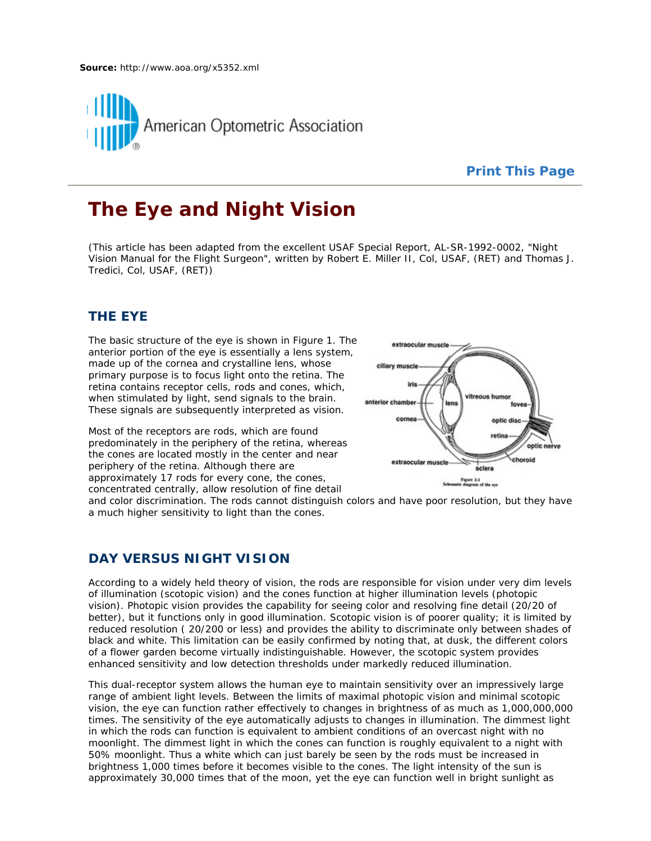

# **Print This Page**

# **The Eye and Night Vision**

(This article has been adapted from the excellent USAF Special Report, AL-SR-1992-0002, "Night Vision Manual for the Flight Surgeon", written by Robert E. Miller II, Col, USAF, (RET) and Thomas J. Tredici, Col, USAF, (RET))

# **THE EYE**

The basic structure of the eye is shown in Figure 1. The anterior portion of the eye is essentially a lens system, made up of the cornea and crystalline lens, whose primary purpose is to focus light onto the retina. The retina contains receptor cells, rods and cones, which, when stimulated by light, send signals to the brain. These signals are subsequently interpreted as vision.

Most of the receptors are rods, which are found predominately in the periphery of the retina, whereas the cones are located mostly in the center and near periphery of the retina. Although there are approximately 17 rods for every cone, the cones, concentrated centrally, allow resolution of fine detail



and color discrimination. The rods cannot distinguish colors and have poor resolution, but they have a much higher sensitivity to light than the cones.

### **DAY VERSUS NIGHT VISION**

According to a widely held theory of vision, the rods are responsible for vision under very dim levels of illumination (scotopic vision) and the cones function at higher illumination levels (photopic vision). Photopic vision provides the capability for seeing color and resolving fine detail (20/20 of better), but it functions only in good illumination. Scotopic vision is of poorer quality; it is limited by reduced resolution ( 20/200 or less) and provides the ability to discriminate only between shades of black and white. This limitation can be easily confirmed by noting that, at dusk, the different colors of a flower garden become virtually indistinguishable. However, the scotopic system provides enhanced sensitivity and low detection thresholds under markedly reduced illumination.

This dual-receptor system allows the human eye to maintain sensitivity over an impressively large range of ambient light levels. Between the limits of maximal photopic vision and minimal scotopic vision, the eye can function rather effectively to changes in brightness of as much as 1,000,000,000 times. The sensitivity of the eye automatically adjusts to changes in illumination. The dimmest light in which the rods can function is equivalent to ambient conditions of an overcast night with no moonlight. The dimmest light in which the cones can function is roughly equivalent to a night with 50% moonlight. Thus a white which can just barely be seen by the rods must be increased in brightness 1,000 times before it becomes visible to the cones. The light intensity of the sun is approximately 30,000 times that of the moon, yet the eye can function well in bright sunlight as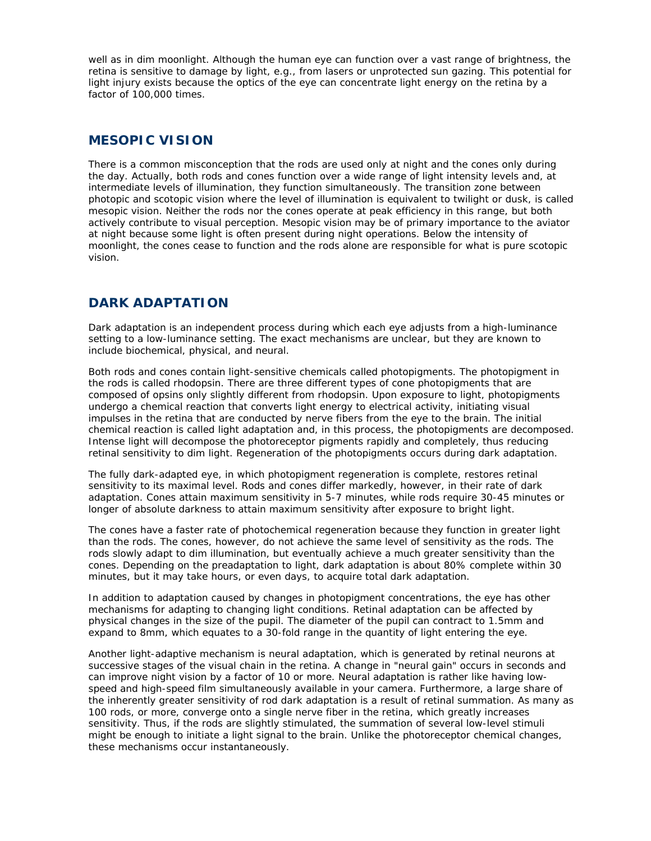well as in dim moonlight. Although the human eye can function over a vast range of brightness, the retina is sensitive to damage by light, e.g., from lasers or unprotected sun gazing. This potential for light injury exists because the optics of the eye can concentrate light energy on the retina by a factor of 100,000 times.

# **MESOPIC VISION**

There is a common misconception that the rods are used only at night and the cones only during the day. Actually, both rods and cones function over a wide range of light intensity levels and, at intermediate levels of illumination, they function simultaneously. The transition zone between photopic and scotopic vision where the level of illumination is equivalent to twilight or dusk, is called mesopic vision. Neither the rods nor the cones operate at peak efficiency in this range, but both actively contribute to visual perception. Mesopic vision may be of primary importance to the aviator at night because some light is often present during night operations. Below the intensity of moonlight, the cones cease to function and the rods alone are responsible for what is pure scotopic vision.

# **DARK ADAPTATION**

Dark adaptation is an independent process during which each eye adjusts from a high-luminance setting to a low-luminance setting. The exact mechanisms are unclear, but they are known to include biochemical, physical, and neural.

Both rods and cones contain light-sensitive chemicals called photopigments. The photopigment in the rods is called rhodopsin. There are three different types of cone photopigments that are composed of opsins only slightly different from rhodopsin. Upon exposure to light, photopigments undergo a chemical reaction that converts light energy to electrical activity, initiating visual impulses in the retina that are conducted by nerve fibers from the eye to the brain. The initial chemical reaction is called light adaptation and, in this process, the photopigments are decomposed. Intense light will decompose the photoreceptor pigments rapidly and completely, thus reducing retinal sensitivity to dim light. Regeneration of the photopigments occurs during dark adaptation.

The fully dark-adapted eye, in which photopigment regeneration is complete, restores retinal sensitivity to its maximal level. Rods and cones differ markedly, however, in their rate of dark adaptation. Cones attain maximum sensitivity in 5-7 minutes, while rods require 30-45 minutes or longer of absolute darkness to attain maximum sensitivity after exposure to bright light.

The cones have a faster rate of photochemical regeneration because they function in greater light than the rods. The cones, however, do not achieve the same level of sensitivity as the rods. The rods slowly adapt to dim illumination, but eventually achieve a much greater sensitivity than the cones. Depending on the preadaptation to light, dark adaptation is about 80% complete within 30 minutes, but it may take hours, or even days, to acquire total dark adaptation.

In addition to adaptation caused by changes in photopigment concentrations, the eye has other mechanisms for adapting to changing light conditions. Retinal adaptation can be affected by physical changes in the size of the pupil. The diameter of the pupil can contract to 1.5mm and expand to 8mm, which equates to a 30-fold range in the quantity of light entering the eye.

Another light-adaptive mechanism is neural adaptation, which is generated by retinal neurons at successive stages of the visual chain in the retina. A change in "neural gain" occurs in seconds and can improve night vision by a factor of 10 or more. Neural adaptation is rather like having lowspeed and high-speed film simultaneously available in your camera. Furthermore, a large share of the inherently greater sensitivity of rod dark adaptation is a result of retinal summation. As many as 100 rods, or more, converge onto a single nerve fiber in the retina, which greatly increases sensitivity. Thus, if the rods are slightly stimulated, the summation of several low-level stimuli might be enough to initiate a light signal to the brain. Unlike the photoreceptor chemical changes, these mechanisms occur instantaneously.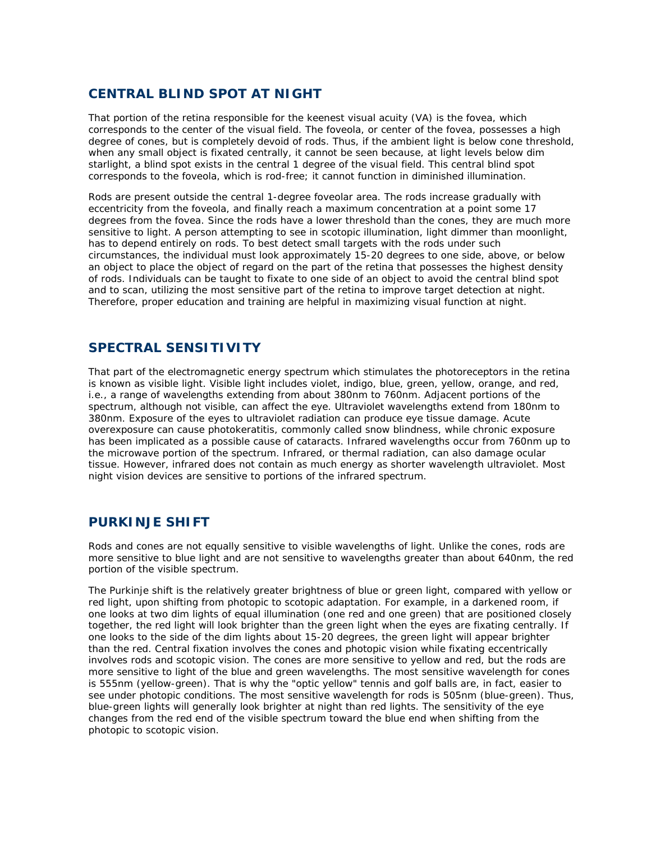# **CENTRAL BLIND SPOT AT NIGHT**

That portion of the retina responsible for the keenest visual acuity (VA) is the fovea, which corresponds to the center of the visual field. The foveola, or center of the fovea, possesses a high degree of cones, but is completely devoid of rods. Thus, if the ambient light is below cone threshold, when any small object is fixated centrally, it cannot be seen because, at light levels below dim starlight, a blind spot exists in the central 1 degree of the visual field. This central blind spot corresponds to the foveola, which is rod-free; it cannot function in diminished illumination.

Rods are present outside the central 1-degree foveolar area. The rods increase gradually with eccentricity from the foveola, and finally reach a maximum concentration at a point some 17 degrees from the fovea. Since the rods have a lower threshold than the cones, they are much more sensitive to light. A person attempting to see in scotopic illumination, light dimmer than moonlight, has to depend entirely on rods. To best detect small targets with the rods under such circumstances, the individual must look approximately 15-20 degrees to one side, above, or below an object to place the object of regard on the part of the retina that possesses the highest density of rods. Individuals can be taught to fixate to one side of an object to avoid the central blind spot and to scan, utilizing the most sensitive part of the retina to improve target detection at night. Therefore, proper education and training are helpful in maximizing visual function at night.

# **SPECTRAL SENSITIVITY**

That part of the electromagnetic energy spectrum which stimulates the photoreceptors in the retina is known as visible light. Visible light includes violet, indigo, blue, green, yellow, orange, and red, i.e., a range of wavelengths extending from about 380nm to 760nm. Adjacent portions of the spectrum, although not visible, can affect the eye. Ultraviolet wavelengths extend from 180nm to 380nm. Exposure of the eyes to ultraviolet radiation can produce eye tissue damage. Acute overexposure can cause photokeratitis, commonly called snow blindness, while chronic exposure has been implicated as a possible cause of cataracts. Infrared wavelengths occur from 760nm up to the microwave portion of the spectrum. Infrared, or thermal radiation, can also damage ocular tissue. However, infrared does not contain as much energy as shorter wavelength ultraviolet. Most night vision devices are sensitive to portions of the infrared spectrum.

# **PURKINJE SHIFT**

Rods and cones are not equally sensitive to visible wavelengths of light. Unlike the cones, rods are more sensitive to blue light and are not sensitive to wavelengths greater than about 640nm, the red portion of the visible spectrum.

The Purkinje shift is the relatively greater brightness of blue or green light, compared with yellow or red light, upon shifting from photopic to scotopic adaptation. For example, in a darkened room, if one looks at two dim lights of equal illumination (one red and one green) that are positioned closely together, the red light will look brighter than the green light when the eyes are fixating centrally. If one looks to the side of the dim lights about 15-20 degrees, the green light will appear brighter than the red. Central fixation involves the cones and photopic vision while fixating eccentrically involves rods and scotopic vision. The cones are more sensitive to yellow and red, but the rods are more sensitive to light of the blue and green wavelengths. The most sensitive wavelength for cones is 555nm (yellow-green). That is why the "optic yellow" tennis and golf balls are, in fact, easier to see under photopic conditions. The most sensitive wavelength for rods is 505nm (blue-green). Thus, blue-green lights will generally look brighter at night than red lights. The sensitivity of the eye changes from the red end of the visible spectrum toward the blue end when shifting from the photopic to scotopic vision.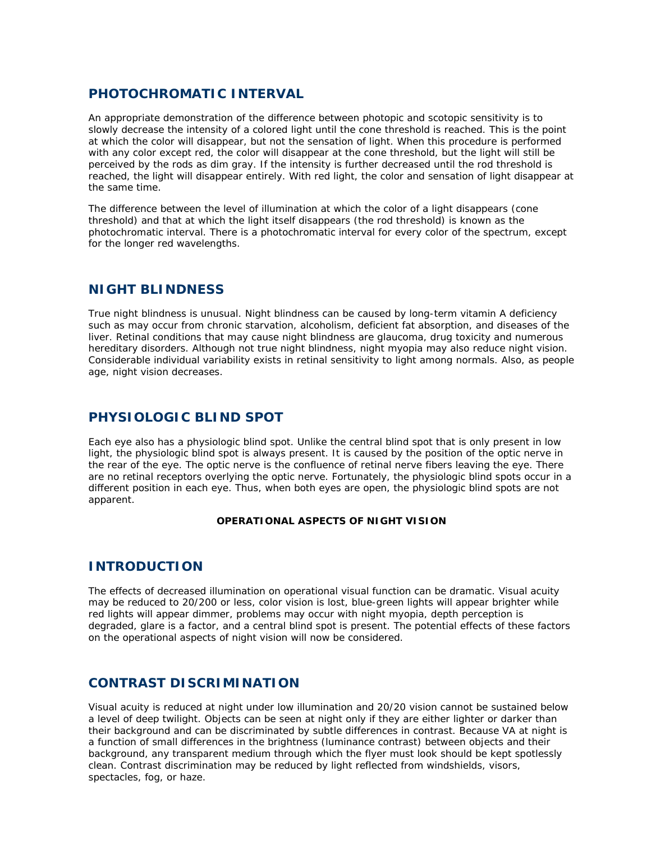# **PHOTOCHROMATIC INTERVAL**

An appropriate demonstration of the difference between photopic and scotopic sensitivity is to slowly decrease the intensity of a colored light until the cone threshold is reached. This is the point at which the color will disappear, but not the sensation of light. When this procedure is performed with any color except red, the color will disappear at the cone threshold, but the light will still be perceived by the rods as dim gray. If the intensity is further decreased until the rod threshold is reached, the light will disappear entirely. With red light, the color and sensation of light disappear at the same time.

The difference between the level of illumination at which the color of a light disappears (cone threshold) and that at which the light itself disappears (the rod threshold) is known as the photochromatic interval. There is a photochromatic interval for every color of the spectrum, except for the longer red wavelengths.

# **NIGHT BLINDNESS**

True night blindness is unusual. Night blindness can be caused by long-term vitamin A deficiency such as may occur from chronic starvation, alcoholism, deficient fat absorption, and diseases of the liver. Retinal conditions that may cause night blindness are glaucoma, drug toxicity and numerous hereditary disorders. Although not true night blindness, night myopia may also reduce night vision. Considerable individual variability exists in retinal sensitivity to light among normals. Also, as people age, night vision decreases.

# **PHYSIOLOGIC BLIND SPOT**

Each eye also has a physiologic blind spot. Unlike the central blind spot that is only present in low light, the physiologic blind spot is always present. It is caused by the position of the optic nerve in the rear of the eye. The optic nerve is the confluence of retinal nerve fibers leaving the eye. There are no retinal receptors overlying the optic nerve. Fortunately, the physiologic blind spots occur in a different position in each eye. Thus, when both eyes are open, the physiologic blind spots are not apparent.

### **OPERATIONAL ASPECTS OF NIGHT VISION**

### **INTRODUCTION**

The effects of decreased illumination on operational visual function can be dramatic. Visual acuity may be reduced to 20/200 or less, color vision is lost, blue-green lights will appear brighter while red lights will appear dimmer, problems may occur with night myopia, depth perception is degraded, glare is a factor, and a central blind spot is present. The potential effects of these factors on the operational aspects of night vision will now be considered.

# **CONTRAST DISCRIMINATION**

Visual acuity is reduced at night under low illumination and 20/20 vision cannot be sustained below a level of deep twilight. Objects can be seen at night only if they are either lighter or darker than their background and can be discriminated by subtle differences in contrast. Because VA at night is a function of small differences in the brightness (luminance contrast) between objects and their background, any transparent medium through which the flyer must look should be kept spotlessly clean. Contrast discrimination may be reduced by light reflected from windshields, visors, spectacles, fog, or haze.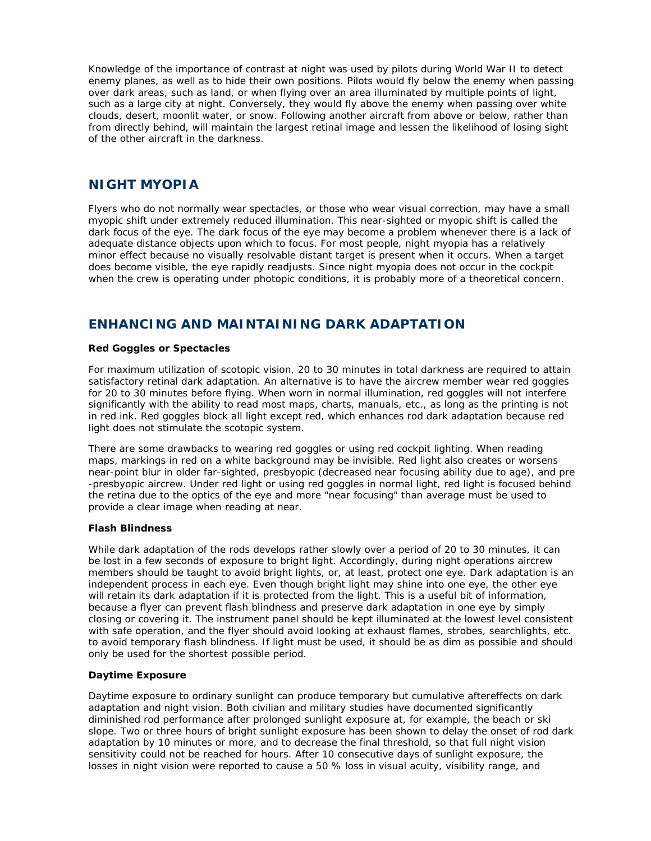Knowledge of the importance of contrast at night was used by pilots during World War II to detect enemy planes, as well as to hide their own positions. Pilots would fly below the enemy when passing over dark areas, such as land, or when flying over an area illuminated by multiple points of light, such as a large city at night. Conversely, they would fly above the enemy when passing over white clouds, desert, moonlit water, or snow. Following another aircraft from above or below, rather than from directly behind, will maintain the largest retinal image and lessen the likelihood of losing sight of the other aircraft in the darkness.

### **NIGHT MYOPIA**

Flyers who do not normally wear spectacles, or those who wear visual correction, may have a small myopic shift under extremely reduced illumination. This near-sighted or myopic shift is called the dark focus of the eye. The dark focus of the eye may become a problem whenever there is a lack of adequate distance objects upon which to focus. For most people, night myopia has a relatively minor effect because no visually resolvable distant target is present when it occurs. When a target does become visible, the eye rapidly readjusts. Since night myopia does not occur in the cockpit when the crew is operating under photopic conditions, it is probably more of a theoretical concern.

# **ENHANCING AND MAINTAINING DARK ADAPTATION**

### **Red Goggles or Spectacles**

For maximum utilization of scotopic vision, 20 to 30 minutes in total darkness are required to attain satisfactory retinal dark adaptation. An alternative is to have the aircrew member wear red goggles for 20 to 30 minutes before flying. When worn in normal illumination, red goggles will not interfere significantly with the ability to read most maps, charts, manuals, etc., as long as the printing is not in red ink. Red goggles block all light except red, which enhances rod dark adaptation because red light does not stimulate the scotopic system.

There are some drawbacks to wearing red goggles or using red cockpit lighting. When reading maps, markings in red on a white background may be invisible. Red light also creates or worsens near-point blur in older far-sighted, presbyopic (decreased near focusing ability due to age), and pre -presbyopic aircrew. Under red light or using red goggles in normal light, red light is focused behind the retina due to the optics of the eye and more "near focusing" than average must be used to provide a clear image when reading at near.

### **Flash Blindness**

While dark adaptation of the rods develops rather slowly over a period of 20 to 30 minutes, it can be lost in a few seconds of exposure to bright light. Accordingly, during night operations aircrew members should be taught to avoid bright lights, or, at least, protect one eye. Dark adaptation is an independent process in each eye. Even though bright light may shine into one eye, the other eye will retain its dark adaptation if it is protected from the light. This is a useful bit of information, because a flyer can prevent flash blindness and preserve dark adaptation in one eye by simply closing or covering it. The instrument panel should be kept illuminated at the lowest level consistent with safe operation, and the flyer should avoid looking at exhaust flames, strobes, searchlights, etc. to avoid temporary flash blindness. If light must be used, it should be as dim as possible and should only be used for the shortest possible period.

### **Daytime Exposure**

Daytime exposure to ordinary sunlight can produce temporary but cumulative aftereffects on dark adaptation and night vision. Both civilian and military studies have documented significantly diminished rod performance after prolonged sunlight exposure at, for example, the beach or ski slope. Two or three hours of bright sunlight exposure has been shown to delay the onset of rod dark adaptation by 10 minutes or more, and to decrease the final threshold, so that full night vision sensitivity could not be reached for hours. After 10 consecutive days of sunlight exposure, the losses in night vision were reported to cause a 50 % loss in visual acuity, visibility range, and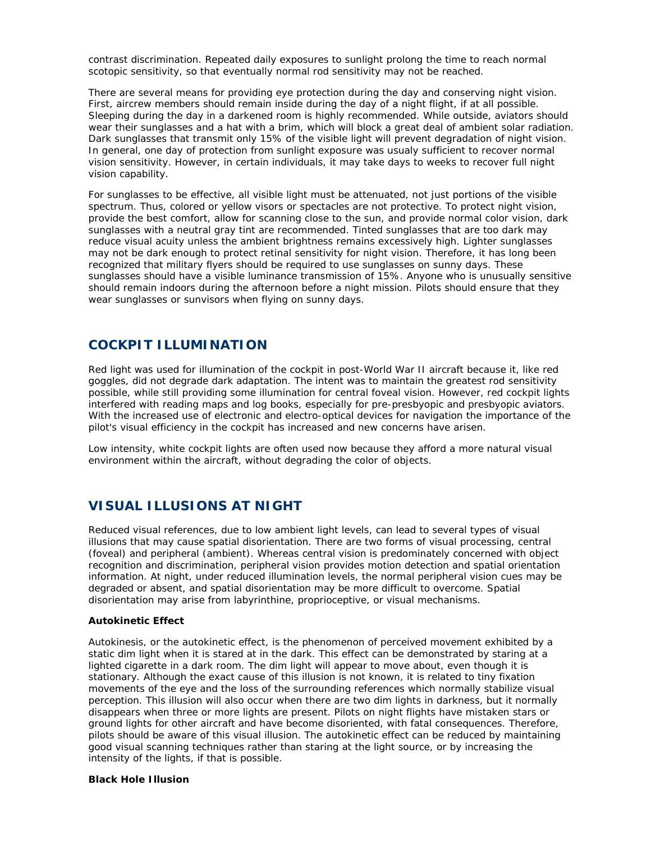contrast discrimination. Repeated daily exposures to sunlight prolong the time to reach normal scotopic sensitivity, so that eventually normal rod sensitivity may not be reached.

There are several means for providing eye protection during the day and conserving night vision. First, aircrew members should remain inside during the day of a night flight, if at all possible. Sleeping during the day in a darkened room is highly recommended. While outside, aviators should wear their sunglasses and a hat with a brim, which will block a great deal of ambient solar radiation. Dark sunglasses that transmit only 15% of the visible light will prevent degradation of night vision. In general, one day of protection from sunlight exposure was usualy sufficient to recover normal vision sensitivity. However, in certain individuals, it may take days to weeks to recover full night vision capability.

For sunglasses to be effective, all visible light must be attenuated, not just portions of the visible spectrum. Thus, colored or yellow visors or spectacles are not protective. To protect night vision, provide the best comfort, allow for scanning close to the sun, and provide normal color vision, dark sunglasses with a neutral gray tint are recommended. Tinted sunglasses that are too dark may reduce visual acuity unless the ambient brightness remains excessively high. Lighter sunglasses may not be dark enough to protect retinal sensitivity for night vision. Therefore, it has long been recognized that military flyers should be required to use sunglasses on sunny days. These sunglasses should have a visible luminance transmission of 15%. Anyone who is unusually sensitive should remain indoors during the afternoon before a night mission. Pilots should ensure that they wear sunglasses or sunvisors when flying on sunny days.

# **COCKPIT ILLUMINATION**

Red light was used for illumination of the cockpit in post-World War II aircraft because it, like red goggles, did not degrade dark adaptation. The intent was to maintain the greatest rod sensitivity possible, while still providing some illumination for central foveal vision. However, red cockpit lights interfered with reading maps and log books, especially for pre-presbyopic and presbyopic aviators. With the increased use of electronic and electro-optical devices for navigation the importance of the pilot's visual efficiency in the cockpit has increased and new concerns have arisen.

Low intensity, white cockpit lights are often used now because they afford a more natural visual environment within the aircraft, without degrading the color of objects.

### **VISUAL ILLUSIONS AT NIGHT**

Reduced visual references, due to low ambient light levels, can lead to several types of visual illusions that may cause spatial disorientation. There are two forms of visual processing, central (foveal) and peripheral (ambient). Whereas central vision is predominately concerned with object recognition and discrimination, peripheral vision provides motion detection and spatial orientation information. At night, under reduced illumination levels, the normal peripheral vision cues may be degraded or absent, and spatial disorientation may be more difficult to overcome. Spatial disorientation may arise from labyrinthine, proprioceptive, or visual mechanisms.

#### **Autokinetic Effect**

Autokinesis, or the autokinetic effect, is the phenomenon of perceived movement exhibited by a static dim light when it is stared at in the dark. This effect can be demonstrated by staring at a lighted cigarette in a dark room. The dim light will appear to move about, even though it is stationary. Although the exact cause of this illusion is not known, it is related to tiny fixation movements of the eye and the loss of the surrounding references which normally stabilize visual perception. This illusion will also occur when there are two dim lights in darkness, but it normally disappears when three or more lights are present. Pilots on night flights have mistaken stars or ground lights for other aircraft and have become disoriented, with fatal consequences. Therefore, pilots should be aware of this visual illusion. The autokinetic effect can be reduced by maintaining good visual scanning techniques rather than staring at the light source, or by increasing the intensity of the lights, if that is possible.

#### **Black Hole Illusion**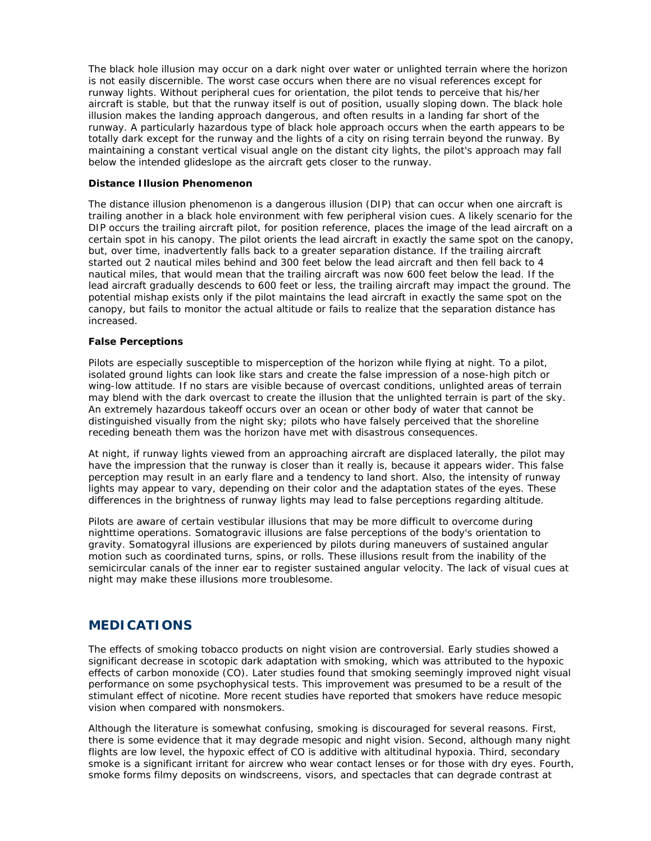The black hole illusion may occur on a dark night over water or unlighted terrain where the horizon is not easily discernible. The worst case occurs when there are no visual references except for runway lights. Without peripheral cues for orientation, the pilot tends to perceive that his/her aircraft is stable, but that the runway itself is out of position, usually sloping down. The black hole illusion makes the landing approach dangerous, and often results in a landing far short of the runway. A particularly hazardous type of black hole approach occurs when the earth appears to be totally dark except for the runway and the lights of a city on rising terrain beyond the runway. By maintaining a constant vertical visual angle on the distant city lights, the pilot's approach may fall below the intended glideslope as the aircraft gets closer to the runway.

#### **Distance Illusion Phenomenon**

The distance illusion phenomenon is a dangerous illusion (DIP) that can occur when one aircraft is trailing another in a black hole environment with few peripheral vision cues. A likely scenario for the DIP occurs the trailing aircraft pilot, for position reference, places the image of the lead aircraft on a certain spot in his canopy. The pilot orients the lead aircraft in exactly the same spot on the canopy, but, over time, inadvertently falls back to a greater separation distance. If the trailing aircraft started out 2 nautical miles behind and 300 feet below the lead aircraft and then fell back to 4 nautical miles, that would mean that the trailing aircraft was now 600 feet below the lead. If the lead aircraft gradually descends to 600 feet or less, the trailing aircraft may impact the ground. The potential mishap exists only if the pilot maintains the lead aircraft in exactly the same spot on the canopy, but fails to monitor the actual altitude or fails to realize that the separation distance has increased.

#### **False Perceptions**

Pilots are especially susceptible to misperception of the horizon while flying at night. To a pilot, isolated ground lights can look like stars and create the false impression of a nose-high pitch or wing-low attitude. If no stars are visible because of overcast conditions, unlighted areas of terrain may blend with the dark overcast to create the illusion that the unlighted terrain is part of the sky. An extremely hazardous takeoff occurs over an ocean or other body of water that cannot be distinguished visually from the night sky; pilots who have falsely perceived that the shoreline receding beneath them was the horizon have met with disastrous consequences.

At night, if runway lights viewed from an approaching aircraft are displaced laterally, the pilot may have the impression that the runway is closer than it really is, because it appears wider. This false perception may result in an early flare and a tendency to land short. Also, the intensity of runway lights may appear to vary, depending on their color and the adaptation states of the eyes. These differences in the brightness of runway lights may lead to false perceptions regarding altitude.

Pilots are aware of certain vestibular illusions that may be more difficult to overcome during nighttime operations. Somatogravic illusions are false perceptions of the body's orientation to gravity. Somatogyral illusions are experienced by pilots during maneuvers of sustained angular motion such as coordinated turns, spins, or rolls. These illusions result from the inability of the semicircular canals of the inner ear to register sustained angular velocity. The lack of visual cues at night may make these illusions more troublesome.

### **MEDICATIONS**

The effects of smoking tobacco products on night vision are controversial. Early studies showed a significant decrease in scotopic dark adaptation with smoking, which was attributed to the hypoxic effects of carbon monoxide (CO). Later studies found that smoking seemingly improved night visual performance on some psychophysical tests. This improvement was presumed to be a result of the stimulant effect of nicotine. More recent studies have reported that smokers have reduce mesopic vision when compared with nonsmokers.

Although the literature is somewhat confusing, smoking is discouraged for several reasons. First, there is some evidence that it may degrade mesopic and night vision. Second, although many night flights are low level, the hypoxic effect of CO is additive with altitudinal hypoxia. Third, secondary smoke is a significant irritant for aircrew who wear contact lenses or for those with dry eyes. Fourth, smoke forms filmy deposits on windscreens, visors, and spectacles that can degrade contrast at